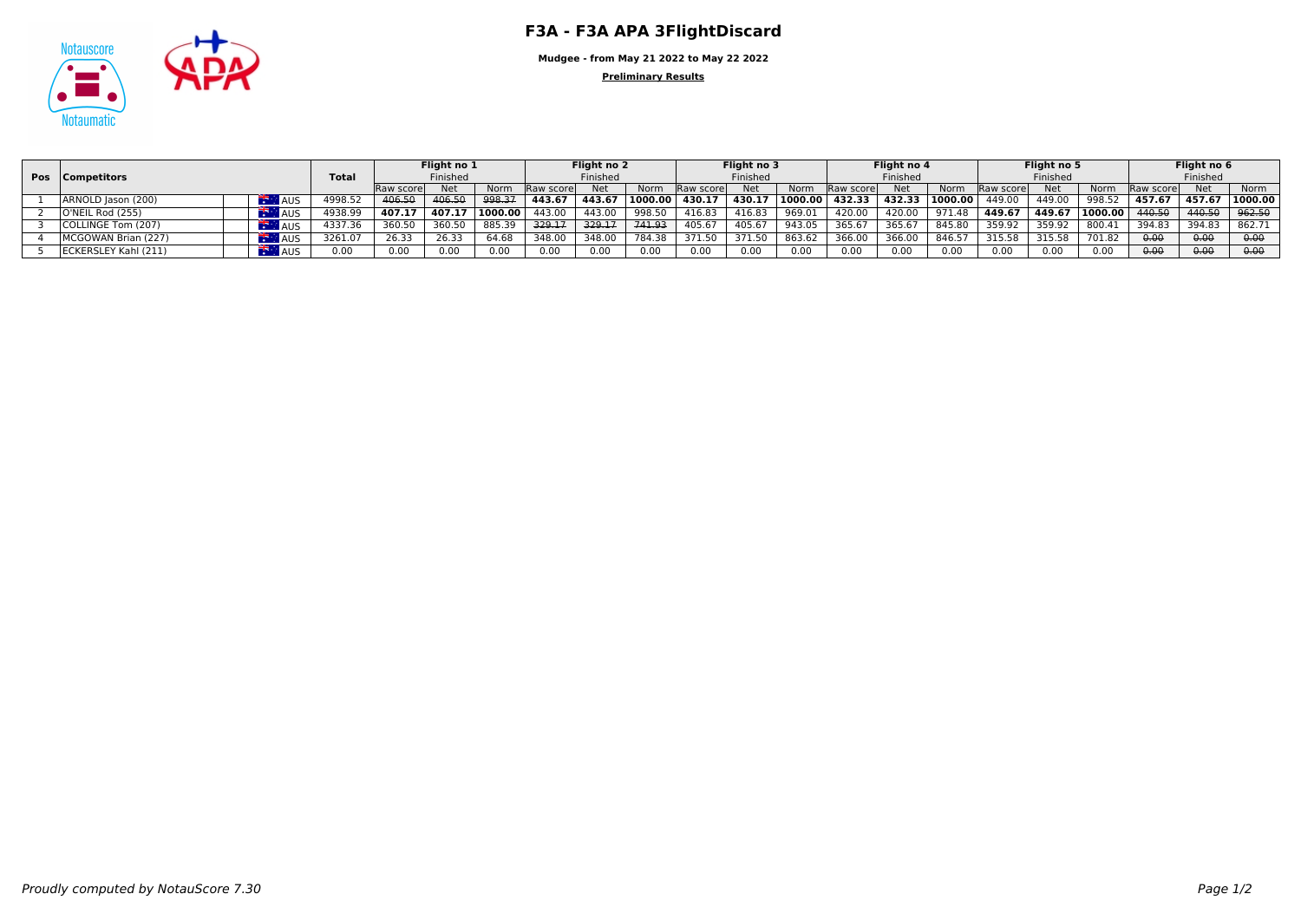

**Mudgee - from May 21 2022 to May 22 2022**

**Preliminary Results**

|  | <b>Pos</b> Competitors |            |               | Flight no 1 |            |          | Flight no 2       |            | Flight no 3<br>Finished |            |        | Flight no 4<br>Finished |                    | Flight no 5 |         |                   | Flight no 6<br>Finished |         |                    |            |         |
|--|------------------------|------------|---------------|-------------|------------|----------|-------------------|------------|-------------------------|------------|--------|-------------------------|--------------------|-------------|---------|-------------------|-------------------------|---------|--------------------|------------|---------|
|  |                        |            | <b>Total</b>  | Finished    |            | Finished |                   |            |                         |            |        |                         |                    | Finished    |         |                   |                         |         |                    |            |         |
|  |                        |            |               | Raw score   | <b>Net</b> | Norm     | <b>IRaw score</b> | <b>Net</b> | Norm                    | Raw scorel | Net    | Norm                    | <b>IRaw scorel</b> | Net         | Norm    | <b>Raw scorel</b> | Net                     | Norm    | <b>IRaw scorel</b> | <b>Net</b> | Norm    |
|  | ARNOLD Jason (200)     |            | 1998.5.       | 406.50      | 406.50     | 998.37   | 443.67            | 443.67     |                         | 430.17     | 430.17 | 1000.00                 | 432.33             | 432.33      | 1000.00 | 449.00            | 449.00                  | 998.52  | 457.67             | 457.67     | 1000.00 |
|  | O'NEIL Rod (255)       |            | 4938.9        | 407.1       | 407.1      | 1000.00  | 443.00            | 443.00     | 998.50                  | 416.83     | 116.8. | 969.01                  | 420.00             | 420.00      |         | 449.67            | 449.67                  | 1000.00 | 440.50             | 440.50     | 962.50  |
|  | COLLINGE Tom (207)     | <b>AUS</b> | 4337.36       | 360.50      |            | 885.39   | 329.17            | 329.17     | 741.93                  | 405.6      | 105.6  | 943.05                  | 365.6              | 365.6       | 845.80  | 359.92            | 359.92                  | 800.4   | 394.8              | 394.85     | 862.71  |
|  | MCGOWAN Brian (227)    |            | 3261.07       | 26.33       | 26.33      | 64.68    | 348.00            | 348.00     | 784.38                  | 371.50     | 371.50 | 863.62                  | 366.00             | 366.00      | 846.5   | 315.58            | 315.58                  | 701.82  | 0.06               | 0.00       | 0.00    |
|  | ECKERSLEY Kahl (211)   |            | $\sim$ $\sim$ | 0.00        | 0.00       | 0.00     | 0.OC              | 0.00       |                         | 0.00       | 0.00   | 0.00                    | 0.00               | 0.00        | 0.00    | 0.00              | 0.00                    | 0.00    | 0.00               | 0.00       | 0.00    |